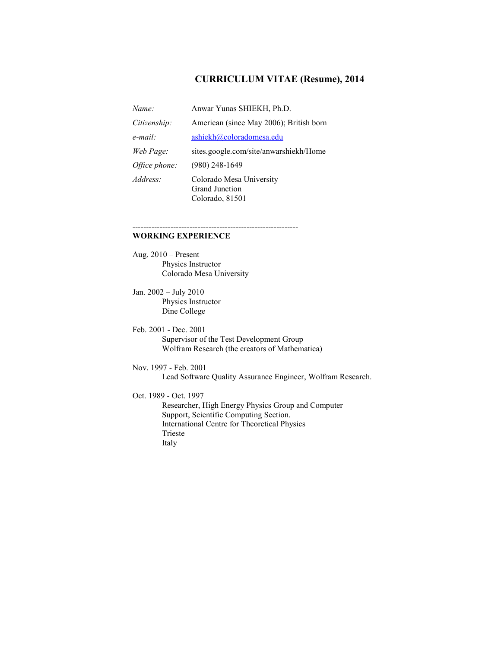# **CURRICULUM VITAE (Resume), 2014**

| Name:         | Anwar Yunas SHIEKH, Ph.D.                                            |
|---------------|----------------------------------------------------------------------|
| Citizenship:  | American (since May 2006); British born                              |
| $e$ -mail:    | ashiekh@coloradomesa.edu                                             |
| Web Page:     | sites.google.com/site/anwarshiekh/Home                               |
| Office phone: | $(980)$ 248-1649                                                     |
| Address:      | Colorado Mesa University<br><b>Grand Junction</b><br>Colorado, 81501 |

-------------------------------------------------------------

# **WORKING EXPERIENCE**

Aug. 2010 – Present Physics Instructor Colorado Mesa University

Jan. 2002 – July 2010 Physics Instructor Dine College

Feb. 2001 - Dec. 2001 Supervisor of the Test Development Group Wolfram Research (the creators of Mathematica)

Nov. 1997 - Feb. 2001 Lead Software Quality Assurance Engineer, Wolfram Research.

Oct. 1989 - Oct. 1997

Researcher, High Energy Physics Group and Computer Support, Scientific Computing Section. International Centre for Theoretical Physics Trieste Italy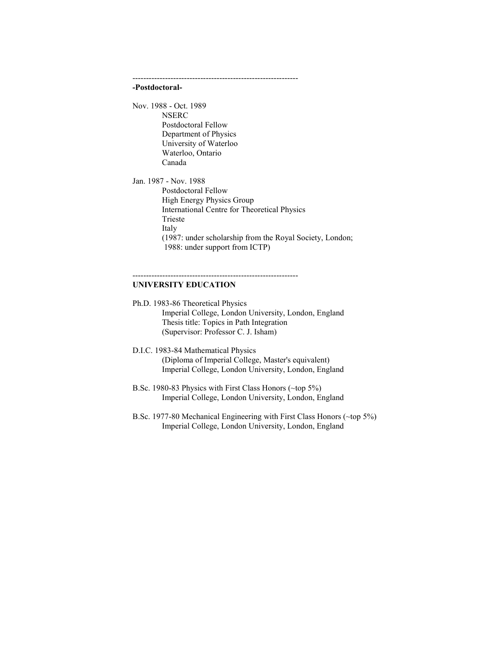-------------------------------------------------------------

### **-Postdoctoral-**

Nov. 1988 - Oct. 1989 NSERC Postdoctoral Fellow Department of Physics University of Waterloo Waterloo, Ontario Canada

Jan. 1987 - Nov. 1988 Postdoctoral Fellow High Energy Physics Group International Centre for Theoretical Physics Trieste Italy (1987: under scholarship from the Royal Society, London; 1988: under support from ICTP)

### **UNIVERSITY EDUCATION**

Ph.D. 1983-86 Theoretical Physics Imperial College, London University, London, England Thesis title: Topics in Path Integration (Supervisor: Professor C. J. Isham)

-------------------------------------------------------------

D.I.C. 1983-84 Mathematical Physics (Diploma of Imperial College, Master's equivalent) Imperial College, London University, London, England

B.Sc. 1980-83 Physics with First Class Honors (~top 5%) Imperial College, London University, London, England

B.Sc. 1977-80 Mechanical Engineering with First Class Honors (~top 5%) Imperial College, London University, London, England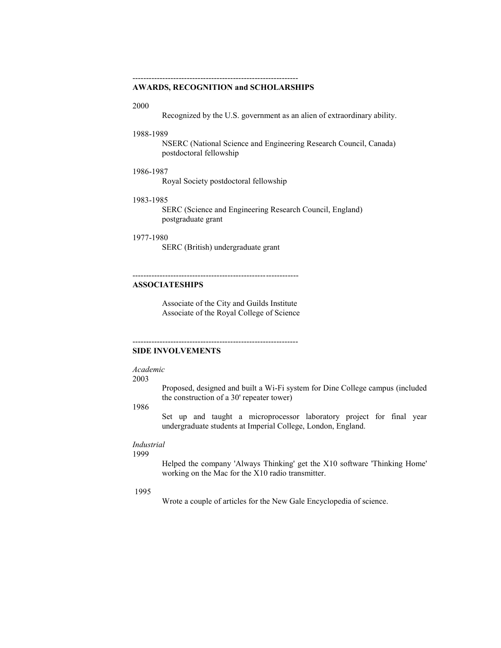## **AWARDS, RECOGNITION and SCHOLARSHIPS**

#### 2000

Recognized by the U.S. government as an alien of extraordinary ability.

### 1988-1989

NSERC (National Science and Engineering Research Council, Canada) postdoctoral fellowship

### 1986-1987

Royal Society postdoctoral fellowship

### 1983-1985

SERC (Science and Engineering Research Council, England) postgraduate grant

### 1977-1980

SERC (British) undergraduate grant

-------------------------------------------------------------

# **ASSOCIATESHIPS**

Associate of the City and Guilds Institute Associate of the Royal College of Science

-------------------------------------------------------------

## **SIDE INVOLVEMENTS**

#### *Academic*

### 2003

Proposed, designed and built a Wi-Fi system for Dine College campus (included the construction of a 30' repeater tower)

### 1986

Set up and taught a microprocessor laboratory project for final year undergraduate students at Imperial College, London, England.

# *Industrial*

1999

Helped the company 'Always Thinking' get the X10 software 'Thinking Home' working on the Mac for the X10 radio transmitter.

### 1995

Wrote a couple of articles for the New Gale Encyclopedia of science.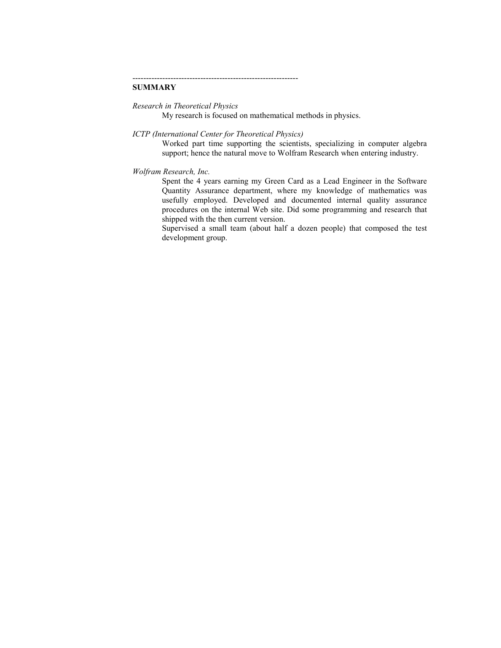# **SUMMARY**

*Research in Theoretical Physics*

My research is focused on mathematical methods in physics.

-------------------------------------------------------------

*ICTP (International Center for Theoretical Physics)*

Worked part time supporting the scientists, specializing in computer algebra support; hence the natural move to Wolfram Research when entering industry.

### *Wolfram Research, Inc.*

Spent the 4 years earning my Green Card as a Lead Engineer in the Software Quantity Assurance department, where my knowledge of mathematics was usefully employed. Developed and documented internal quality assurance procedures on the internal Web site. Did some programming and research that shipped with the then current version.

Supervised a small team (about half a dozen people) that composed the test development group.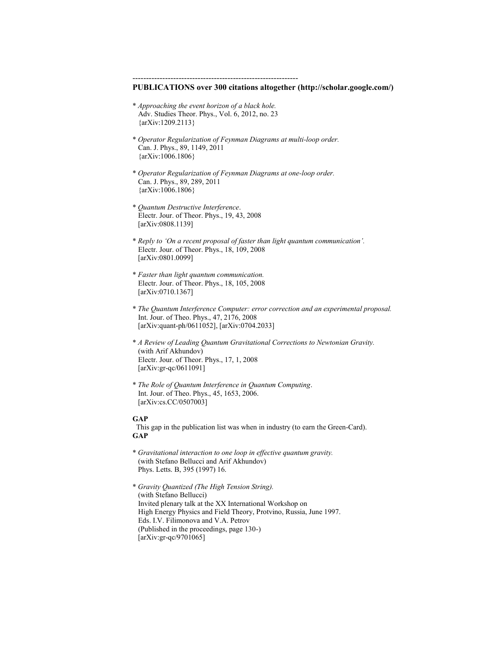------------------------------------------------------------- **PUBLICATIONS over 300 citations altogether (http://scholar.google.com/)** \* *Approaching the event horizon of a black hole.* Adv. Studies Theor. Phys., Vol. 6, 2012, no. 23 {arXiv:1209.2113} \* *Operator Regularization of Feynman Diagrams at multi-loop order.* Can. J. Phys., 89, 1149, 2011 {arXiv:1006.1806} \* *Operator Regularization of Feynman Diagrams at one-loop order.* Can. J. Phys., 89, 289, 2011 {arXiv:1006.1806} \* *Quantum Destructive Interference*. Electr. Jour. of Theor. Phys., 19, 43, 2008 [arXiv:0808.1139] \* *Reply to 'On a recent proposal of faster than light quantum communication'.* Electr. Jour. of Theor. Phys., 18, 109, 2008 [arXiv:0801.0099] \* *Faster than light quantum communication.* Electr. Jour. of Theor. Phys., 18, 105, 2008 [arXiv:0710.1367] \* *The Quantum Interference Computer: error correction and an experimental proposal.* Int. Jour. of Theo. Phys., 47, 2176, 2008 [arXiv:quant-ph/0611052], [arXiv:0704.2033] \* *A Review of Leading Quantum Gravitational Corrections to Newtonian Gravity.* (with Arif Akhundov) Electr. Jour. of Theor. Phys., 17, 1, 2008 [arXiv:gr-qc/0611091] \* *The Role of Quantum Interference in Quantum Computing*. Int. Jour. of Theo. Phys., 45, 1653, 2006. [arXiv:cs.CC/0507003] **GAP** This gap in the publication list was when in industry (to earn the Green-Card). **GAP** \* *Gravitational interaction to one loop in effective quantum gravity.* (with Stefano Bellucci and Arif Akhundov) Phys. Letts. B, 395 (1997) 16. \* *Gravity Quantized (The High Tension String).* (with Stefano Bellucci) Invited plenary talk at the XX International Workshop on High Energy Physics and Field Theory, Protvino, Russia, June 1997.

 Eds. I.V. Filimonova and V.A. Petrov (Published in the proceedings, page 130-)

[arXiv:gr-qc/9701065]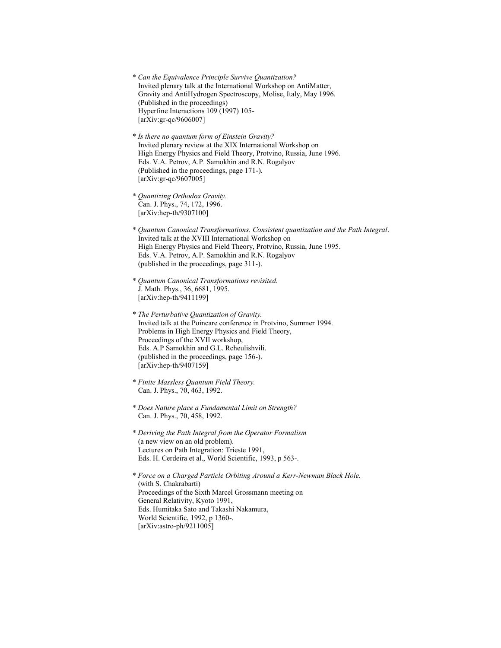- \* *Can the Equivalence Principle Survive Quantization?* Invited plenary talk at the International Workshop on AntiMatter, Gravity and AntiHydrogen Spectroscopy, Molise, Italy, May 1996. (Published in the proceedings) Hyperfine Interactions 109 (1997) 105- [arXiv:gr-qc/9606007]
- \* *Is there no quantum form of Einstein Gravity?* Invited plenary review at the XIX International Workshop on High Energy Physics and Field Theory, Protvino, Russia, June 1996. Eds. V.A. Petrov, A.P. Samokhin and R.N. Rogalyov (Published in the proceedings, page 171-). [arXiv:gr-qc/9607005]
- \* *Quantizing Orthodox Gravity.* Can. J. Phys., 74, 172, 1996. [arXiv:hep-th/9307100]
- \* *Quantum Canonical Transformations. Consistent quantization and the Path Integral*. Invited talk at the XVIII International Workshop on High Energy Physics and Field Theory, Protvino, Russia, June 1995. Eds. V.A. Petrov, A.P. Samokhin and R.N. Rogalyov (published in the proceedings, page 311-).
- \* *Quantum Canonical Transformations revisited.* J. Math. Phys., 36, 6681, 1995. [arXiv:hep-th/9411199]
- \* *The Perturbative Quantization of Gravity.* Invited talk at the Poincare conference in Protvino, Summer 1994. Problems in High Energy Physics and Field Theory, Proceedings of the XVII workshop, Eds. A.P Samokhin and G.L. Rcheulishvili. (published in the proceedings, page 156-). [arXiv:hep-th/9407159]
- \* *Finite Massless Quantum Field Theory.* Can. J. Phys., 70, 463, 1992.
- \* *Does Nature place a Fundamental Limit on Strength?* Can. J. Phys., 70, 458, 1992.
- \* *Deriving the Path Integral from the Operator Formalism* (a new view on an old problem). Lectures on Path Integration: Trieste 1991, Eds. H. Cerdeira et al., World Scientific, 1993, p 563-.

\* *Force on a Charged Particle Orbiting Around a Kerr-Newman Black Hole.* (with S. Chakrabarti) Proceedings of the Sixth Marcel Grossmann meeting on General Relativity, Kyoto 1991, Eds. Humitaka Sato and Takashi Nakamura, World Scientific, 1992, p 1360-. [arXiv:astro-ph/9211005]